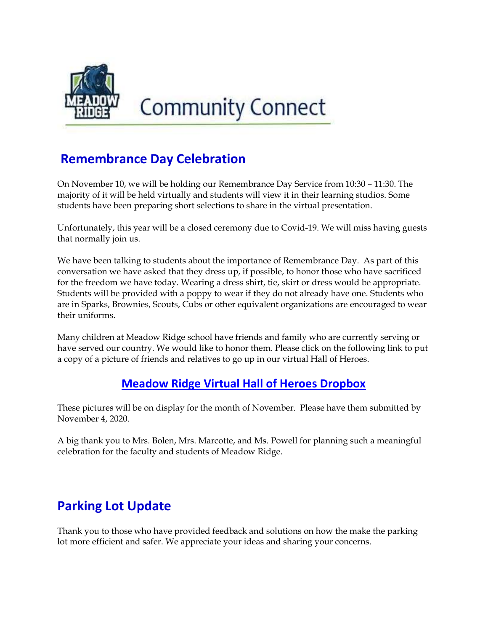

# **Community Connect**

# Remembrance Day Celebration

On November 10, we will be holding our Remembrance Day Service from 10:30 – 11:30. The majority of it will be held virtually and students will view it in their learning studios. Some students have been preparing short selections to share in the virtual presentation.

Unfortunately, this year will be a closed ceremony due to Covid-19. We will miss having guests that normally join us.

We have been talking to students about the importance of Remembrance Day. As part of this conversation we have asked that they dress up, if possible, to honor those who have sacrificed for the freedom we have today. Wearing a dress shirt, tie, skirt or dress would be appropriate. Students will be provided with a poppy to wear if they do not already have one. Students who are in Sparks, Brownies, Scouts, Cubs or other equivalent organizations are encouraged to wear their uniforms.

Many children at Meadow Ridge school have friends and family who are currently serving or have served our country. We would like to honor them. Please click on the following link to put a copy of a picture of friends and relatives to go up in our virtual Hall of Heroes.

#### Meadow Ridge Virtual Hall of Heroes Dropbox

These pictures will be on display for the month of November. Please have them submitted by November 4, 2020.

A big thank you to Mrs. Bolen, Mrs. Marcotte, and Ms. Powell for planning such a meaningful celebration for the faculty and students of Meadow Ridge.

# Parking Lot Update

Thank you to those who have provided feedback and solutions on how the make the parking lot more efficient and safer. We appreciate your ideas and sharing your concerns.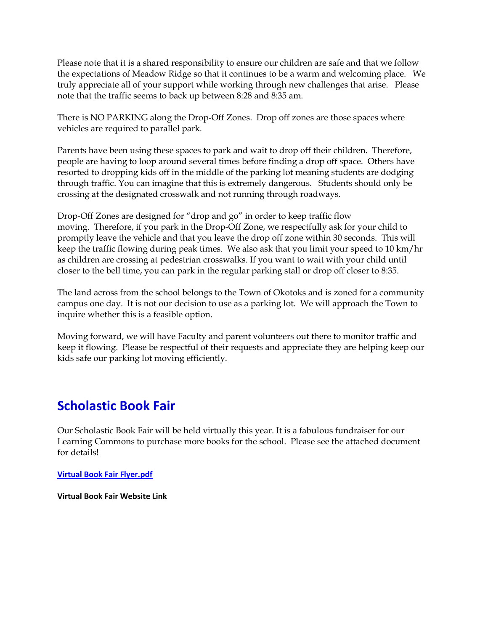Please note that it is a shared responsibility to ensure our children are safe and that we follow the expectations of Meadow Ridge so that it continues to be a warm and welcoming place. We truly appreciate all of your support while working through new challenges that arise. Please note that the traffic seems to back up between 8:28 and 8:35 am.

There is NO PARKING along the Drop-Off Zones. Drop off zones are those spaces where vehicles are required to parallel park.

Parents have been using these spaces to park and wait to drop off their children. Therefore, people are having to loop around several times before finding a drop off space. Others have resorted to dropping kids off in the middle of the parking lot meaning students are dodging through traffic. You can imagine that this is extremely dangerous. Students should only be crossing at the designated crosswalk and not running through roadways.

Drop-Off Zones are designed for "drop and go" in order to keep traffic flow moving. Therefore, if you park in the Drop-Off Zone, we respectfully ask for your child to promptly leave the vehicle and that you leave the drop off zone within 30 seconds. This will keep the traffic flowing during peak times. We also ask that you limit your speed to 10 km/hr as children are crossing at pedestrian crosswalks. If you want to wait with your child until closer to the bell time, you can park in the regular parking stall or drop off closer to 8:35.

The land across from the school belongs to the Town of Okotoks and is zoned for a community campus one day. It is not our decision to use as a parking lot. We will approach the Town to inquire whether this is a feasible option.

Moving forward, we will have Faculty and parent volunteers out there to monitor traffic and keep it flowing. Please be respectful of their requests and appreciate they are helping keep our kids safe our parking lot moving efficiently.

### Scholastic Book Fair

Our Scholastic Book Fair will be held virtually this year. It is a fabulous fundraiser for our Learning Commons to purchase more books for the school. Please see the attached document for details!

Virtual Book Fair Flyer.pdf

Virtual Book Fair Website Link